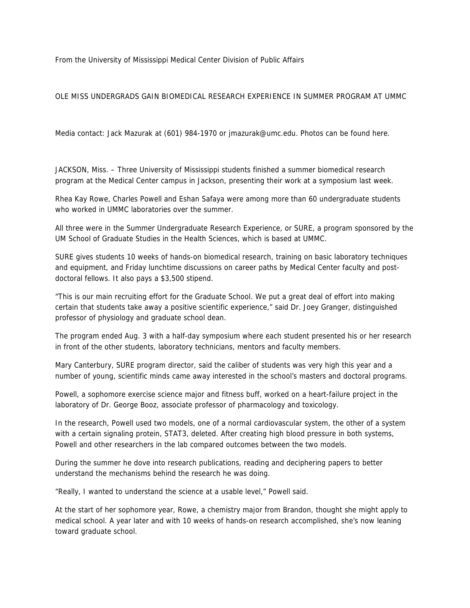From the University of Mississippi Medical Center Division of Public Affairs

## OLE MISS UNDERGRADS GAIN BIOMEDICAL RESEARCH EXPERIENCE IN SUMMER PROGRAM AT UMMC

Media contact: Jack Mazurak at (601) 984-1970 or jmazurak@umc.edu. Photos can be found here.

JACKSON, Miss. – Three University of Mississippi students finished a summer biomedical research program at the Medical Center campus in Jackson, presenting their work at a symposium last week.

Rhea Kay Rowe, Charles Powell and Eshan Safaya were among more than 60 undergraduate students who worked in UMMC laboratories over the summer.

All three were in the Summer Undergraduate Research Experience, or SURE, a program sponsored by the UM School of Graduate Studies in the Health Sciences, which is based at UMMC.

SURE gives students 10 weeks of hands-on biomedical research, training on basic laboratory techniques and equipment, and Friday lunchtime discussions on career paths by Medical Center faculty and postdoctoral fellows. It also pays a \$3,500 stipend.

"This is our main recruiting effort for the Graduate School. We put a great deal of effort into making certain that students take away a positive scientific experience," said Dr. Joey Granger, distinguished professor of physiology and graduate school dean.

The program ended Aug. 3 with a half-day symposium where each student presented his or her research in front of the other students, laboratory technicians, mentors and faculty members.

Mary Canterbury, SURE program director, said the caliber of students was very high this year and a number of young, scientific minds came away interested in the school's masters and doctoral programs.

Powell, a sophomore exercise science major and fitness buff, worked on a heart-failure project in the laboratory of Dr. George Booz, associate professor of pharmacology and toxicology.

In the research, Powell used two models, one of a normal cardiovascular system, the other of a system with a certain signaling protein, STAT3, deleted. After creating high blood pressure in both systems, Powell and other researchers in the lab compared outcomes between the two models.

During the summer he dove into research publications, reading and deciphering papers to better understand the mechanisms behind the research he was doing.

"Really, I wanted to understand the science at a usable level," Powell said.

At the start of her sophomore year, Rowe, a chemistry major from Brandon, thought she might apply to medical school. A year later and with 10 weeks of hands-on research accomplished, she's now leaning toward graduate school.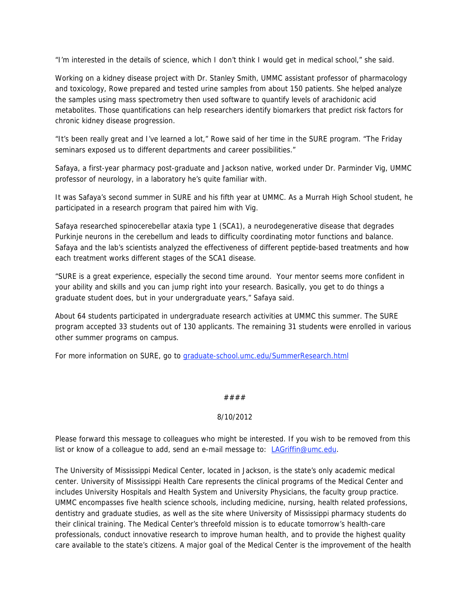"I'm interested in the details of science, which I don't think I would get in medical school," she said.

Working on a kidney disease project with Dr. Stanley Smith, UMMC assistant professor of pharmacology and toxicology, Rowe prepared and tested urine samples from about 150 patients. She helped analyze the samples using mass spectrometry then used software to quantify levels of arachidonic acid metabolites. Those quantifications can help researchers identify biomarkers that predict risk factors for chronic kidney disease progression.

"It's been really great and I've learned a lot," Rowe said of her time in the SURE program. "The Friday seminars exposed us to different departments and career possibilities."

Safaya, a first-year pharmacy post-graduate and Jackson native, worked under Dr. Parminder Vig, UMMC professor of neurology, in a laboratory he's quite familiar with.

It was Safaya's second summer in SURE and his fifth year at UMMC. As a Murrah High School student, he participated in a research program that paired him with Vig.

Safaya researched spinocerebellar ataxia type 1 (SCA1), a neurodegenerative disease that degrades Purkinje neurons in the cerebellum and leads to difficulty coordinating motor functions and balance. Safaya and the lab's scientists analyzed the effectiveness of different peptide-based treatments and how each treatment works different stages of the SCA1 disease.

"SURE is a great experience, especially the second time around. Your mentor seems more confident in your ability and skills and you can jump right into your research. Basically, you get to do things a graduate student does, but in your undergraduate years," Safaya said.

About 64 students participated in undergraduate research activities at UMMC this summer. The SURE program accepted 33 students out of 130 applicants. The remaining 31 students were enrolled in various other summer programs on campus.

For more information on SURE, go to graduate-school.umc.edu/SummerResearch.html

## ####

## 8/10/2012

Please forward this message to colleagues who might be interested. If you wish to be removed from this list or know of a colleague to add, send an e-mail message to: LAGriffin@umc.edu.

The University of Mississippi Medical Center, located in Jackson, is the state's only academic medical center. University of Mississippi Health Care represents the clinical programs of the Medical Center and includes University Hospitals and Health System and University Physicians, the faculty group practice. UMMC encompasses five health science schools, including medicine, nursing, health related professions, dentistry and graduate studies, as well as the site where University of Mississippi pharmacy students do their clinical training. The Medical Center's threefold mission is to educate tomorrow's health-care professionals, conduct innovative research to improve human health, and to provide the highest quality care available to the state's citizens. A major goal of the Medical Center is the improvement of the health